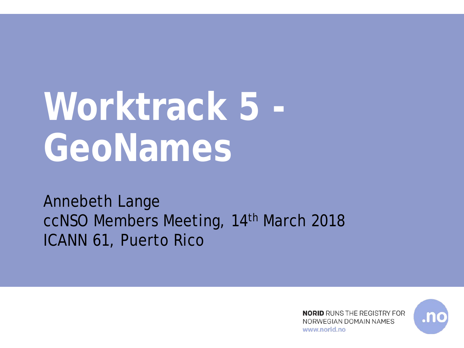# **Worktrack 5 - GeoNames**

Annebeth Lange ccNSO Members Meeting, 14th March 2018 ICANN 61, Puerto Rico

> **NORID** RUNS THE REGISTRY FOR NORWEGIAN DOMAIN NAMES www.norid.no

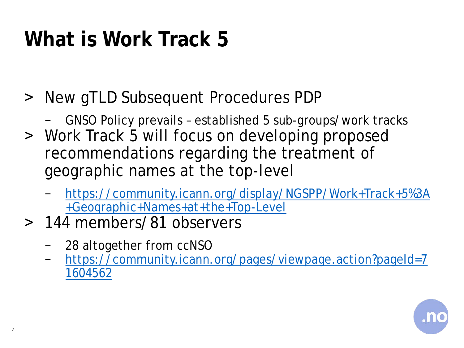## **What is Work Track 5**

- > New gTLD Subsequent Procedures PDP
	- − GNSO Policy prevails established 5 sub-groups/work tracks
- ˃ Work Track 5 will focus on developing proposed recommendations regarding the treatment of geographic names at the top-level
	- − [https://community.icann.org/display/NGSPP/Work+Track+5%3A](https://community.icann.org/display/NGSPP/Work+Track+5:+Geographic+Names+at+the+Top-Level) +Geographic+Names+at+the+Top-Level
- ˃ 144 members/81 observers
	- − 28 altogether from ccNSO
	- − [https://community.icann.org/pages/viewpage.action?pageId=7](https://community.icann.org/pages/viewpage.action?pageId=71604562) 1604562

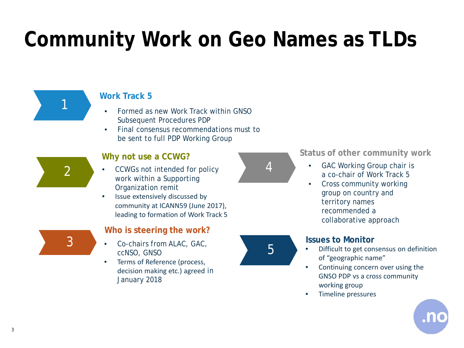## **Community Work on Geo Names as TLDs**



#### **Work Track 5**

- Formed as new Work Track within GNSO Subsequent Procedures PDP
- Final consensus recommendations must to be sent to full PDP Working Group



#### **Why not use a CCWG?**

- CCWGs not intended for policy work within a Supporting Organization remit
- Issue extensively discussed by community at ICANN59 (June 2017), leading to formation of Work Track 5



#### **Who is steering the work?**

- Co-chairs from ALAC, GAC, ccNSO, GNSO
- Terms of Reference (process, decision making etc.) agreed in January 2018



4



- GAC Working Group chair is a co-chair of Work Track 5
- Cross community working group on country and territory names recommended a collaborative approach

#### **Issues to Monitor**

- Difficult to get consensus on definition of "geographic name"
- Continuing concern over using the GNSO PDP vs a cross community working group
- Timeline pressures

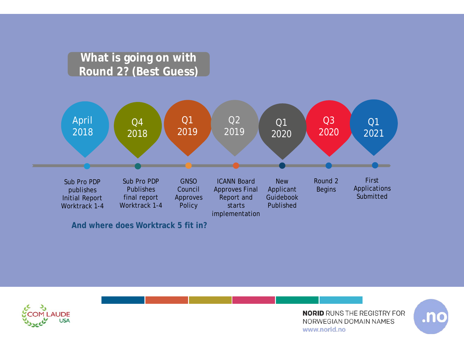#### **What is going on with Round 2? (Best Guess)**



**And where does Worktrack 5 fit in?**



**NORID** RUNS THE REGISTRY FOR NORWEGIAN DOMAIN NAMES www.norid.no

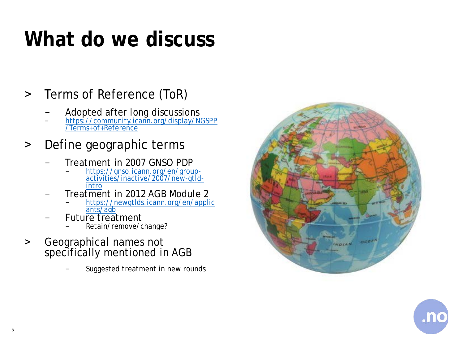### **What do we discuss**

#### > Terms of Reference (ToR)

- 
- Adopted after long discussions<br> [https://community.icann.org/display/NGSPP](https://community.icann.org/display/NGSPP/Terms+of+Reference)<br>/Terms+of+Reference

#### > Define geographic terms

- − Treatment in 2007 GNSO PDP
	- <sup>−</sup> https://gnso.icann.org/en/group- [activities/inactive/2007/new-gtld-](https://gnso.icann.org/en/group-activities/inactive/2007/new-gtld-intro) intro
- − Treatment in 2012 AGB Module 2
	- [https://newgtlds.icann.org/en/applic](https://newgtlds.icann.org/en/applicants/agb)<br>ants/agb
- Future treatment
	- − Retain/remove/change?
- > Geographical names not specifically mentioned in AGB
	- Suggested treatment in new rounds



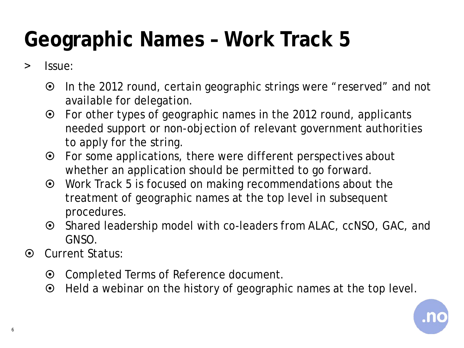## **Geographic Names – Work Track 5**

#### ˃ Issue:

- In the 2012 round, certain geographic strings were "reserved" and not available for delegation.
- For other types of geographic names in the 2012 round, applicants needed support or non-objection of relevant government authorities to apply for the string.
- For some applications, there were different perspectives about whether an application should be permitted to go forward.
- Work Track 5 is focused on making recommendations about the treatment of geographic names at the top level in subsequent procedures.
- ⊙ Shared leadership model with co-leaders from ALAC, ccNSO, GAC, and GNSO.
- $\odot$  Current Status:
	- Completed Terms of Reference document.
	- Held a webinar on the history of geographic names at the top level.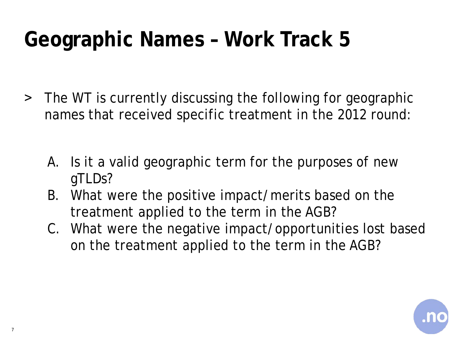## **Geographic Names – Work Track 5**

- ˃ The WT is currently discussing the following for geographic names that received specific treatment in the 2012 round:
	- A. Is it a valid geographic term for the purposes of new gTLDs?
	- B. What were the positive impact/merits based on the treatment applied to the term in the AGB?
	- C. What were the negative impact/opportunities lost based on the treatment applied to the term in the AGB?

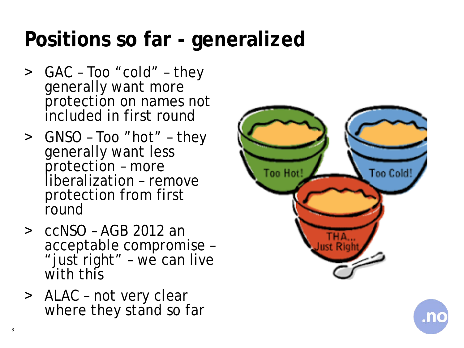### **Positions so far - generalized**

- ˃ GAC Too "cold" they generally want more protection on names not included in first round
- ˃ GNSO Too "hot" they generally want less protection – more liberalization – remove protection from first round
- ˃ ccNSO AGB 2012 an acceptable compromise – "just right" – we can live with this
- > ALAC not very clear where they stand so far



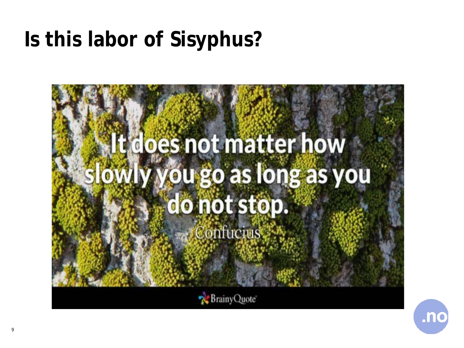### **Is this labor of Sisyphus?**



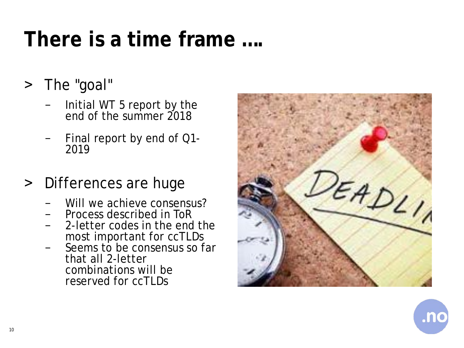### **There is a time frame ….**

- > The "goal"
	- − Initial WT 5 report by the end of the summer 2018
	- <sup>−</sup> Final report by end of Q1- <sup>2019</sup>

#### > Differences are huge

- 
- 
- − Will we achieve consensus?<br>− Process described in ToR<br>− 2-letter codes in the end the<br>most important for ccTLDs
- Seems to be consensus so far that all 2-letter combinations will be reserved for ccTLDs



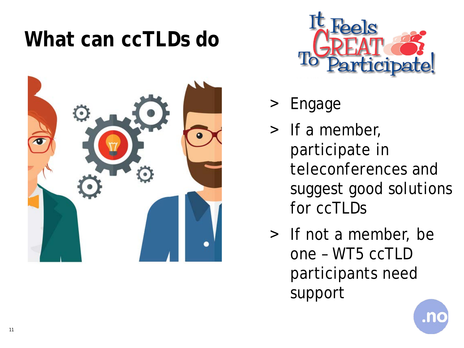#### **What can ccTLDs do**





- Engage
- > If a member, participate in teleconferences and suggest good solutions for ccTLDs
- > If not a member, be one – WT5 ccTLD participants need support

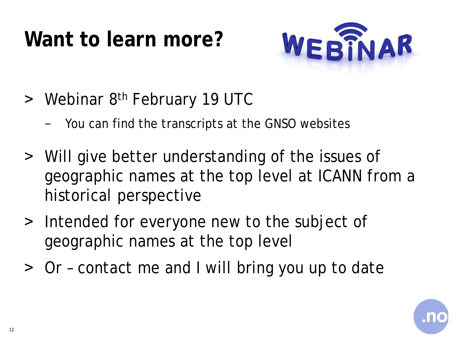## **Want to learn more?**



- > Webinar 8<sup>th</sup> February 19 UTC
	- − You can find the transcripts at the GNSO websites
- ˃ Will give better understanding of the issues of geographic names at the top level at ICANN from a historical perspective
- > Intended for everyone new to the subject of geographic names at the top level
- ˃ Or contact me and I will bring you up to date